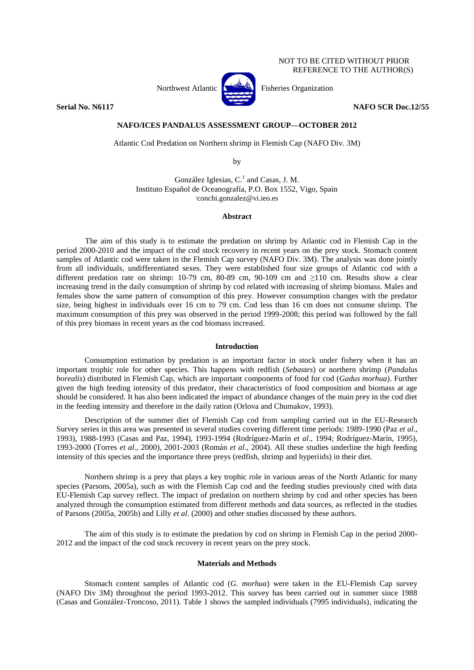# NOT TO BE CITED WITHOUT PRIOR REFERENCE TO THE AUTHOR(S)

Northwest Atlantic  $\begin{bmatrix} 1 & 1 \\ 1 & 2 \end{bmatrix}$  Fisheries Organization

## **Serial No. N6117 NAFO SCR Doc.12/55**

# **NAFO/ICES PANDALUS ASSESSMENT GROUP—OCTOBER 2012**

Atlantic Cod Predation on Northern shrimp in Flemish Cap (NAFO Div. 3M)

by

González Iglesias,  $C<sup>1</sup>$  and Casas, J. M. Instituto Español de Oceanografía, P.O. Box 1552, Vigo, Spain <sup>1</sup>conchi.gonzalez@vi.ieo.es

## **Abstract**

The aim of this study is to estimate the predation on shrimp by Atlantic cod in Flemish Cap in the period 2000-2010 and the impact of the cod stock recovery in recent years on the prey stock. Stomach content samples of Atlantic cod were taken in the Flemish Cap survey (NAFO Div. 3M). The analysis was done jointly from all individuals, undifferentiated sexes. They were established four size groups of Atlantic cod with a different predation rate on shrimp: 10-79 cm, 80-89 cm, 90-109 cm and  $\geq$ 110 cm. Results show a clear increasing trend in the daily consumption of shrimp by cod related with increasing of shrimp biomass. Males and females show the same pattern of consumption of this prey. However consumption changes with the predator size, being highest in individuals over 16 cm to 79 cm. Cod less than 16 cm does not consume shrimp. The maximum consumption of this prey was observed in the period 1999-2008; this period was followed by the fall of this prey biomass in recent years as the cod biomass increased.

## **Introduction**

Consumption estimation by predation is an important factor in stock under fishery when it has an important trophic role for other species. This happens with redfish (*Sebastes*) or northern shrimp (*Pandalus borealis*) distributed in Flemish Cap, which are important components of food for cod (*Gadus morhua*). Further given the high feeding intensity of this predator, their characteristics of food composition and biomass at age should be considered. It has also been indicated the impact of abundance changes of the main prey in the cod diet in the feeding intensity and therefore in the daily ration (Orlova and Chumakov, 1993).

Description of the summer diet of Flemish Cap cod from sampling carried out in the EU-Research Survey series in this area was presented in several studies covering different time periods: 1989-1990 (Paz *et al*., 1993), 1988-1993 (Casas and Paz, 1994), 1993-1994 (Rodríguez-Marín *et al*., 1994; Rodríguez-Marín, 1995), 1993-2000 (Torres *et al*., 2000), 2001-2003 (Román *et al*., 2004). All these studies underline the high feeding intensity of this species and the importance three preys (redfish, shrimp and hyperiids) in their diet.

Northern shrimp is a prey that plays a key trophic role in various areas of the North Atlantic for many species (Parsons, 2005a), such as with the Flemish Cap cod and the feeding studies previously cited with data EU-Flemish Cap survey reflect. The impact of predation on northern shrimp by cod and other species has been analyzed through the consumption estimated from different methods and data sources, as reflected in the studies of Parsons (2005a, 2005b) and Lilly *et al*. (2000) and other studies discussed by these authors.

The aim of this study is to estimate the predation by cod on shrimp in Flemish Cap in the period 2000- 2012 and the impact of the cod stock recovery in recent years on the prey stock.

# **Materials and Methods**

Stomach content samples of Atlantic cod (*G. morhua*) were taken in the EU-Flemish Cap survey (NAFO Div 3M) throughout the period 1993-2012. This survey has been carried out in summer since 1988 (Casas and González-Troncoso, 2011). Table 1 shows the sampled individuals (7995 individuals), indicating the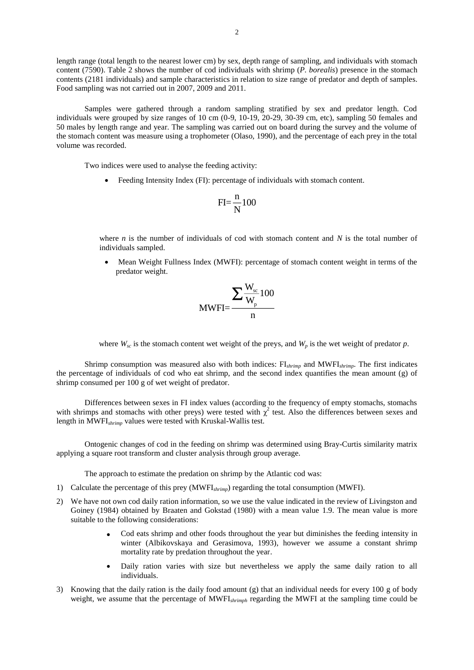length range (total length to the nearest lower cm) by sex, depth range of sampling, and individuals with stomach content (7590). Table 2 shows the number of cod individuals with shrimp (*P. borealis*) presence in the stomach contents (2181 individuals) and sample characteristics in relation to size range of predator and depth of samples. Food sampling was not carried out in 2007, 2009 and 2011.

Samples were gathered through a random sampling stratified by sex and predator length. Cod individuals were grouped by size ranges of 10 cm (0-9, 10-19, 20-29, 30-39 cm, etc), sampling 50 females and 50 males by length range and year. The sampling was carried out on board during the survey and the volume of the stomach content was measure using a trophometer (Olaso, 1990), and the percentage of each prey in the total volume was recorded.

Two indices were used to analyse the feeding activity:

Feeding Intensity Index (FI): percentage of individuals with stomach content.

$$
FI = \frac{n}{N}100
$$

where *n* is the number of individuals of cod with stomach content and *N* is the total number of individuals sampled.

 Mean Weight Fullness Index (MWFI): percentage of stomach content weight in terms of the predator weight.

$$
MWFI{=}\frac{\displaystyle\sum \frac{W_{sc}}{W_{p}}100}{n}
$$



Shrimp consumption was measured also with both indices: FI*shrimp* and MWFI*shrimp*. The first indicates the percentage of individuals of cod who eat shrimp, and the second index quantifies the mean amount (g) of shrimp consumed per 100 g of wet weight of predator.

Differences between sexes in FI index values (according to the frequency of empty stomachs, stomachs with shrimps and stomachs with other preys) were tested with  $\chi^2$  test. Also the differences between sexes and length in MWFI*shrimp* values were tested with Kruskal-Wallis test.

Ontogenic changes of cod in the feeding on shrimp was determined using Bray-Curtis similarity matrix applying a square root transform and cluster analysis through group average.

The approach to estimate the predation on shrimp by the Atlantic cod was:

- 1) Calculate the percentage of this prey (MWFI*shrimp*) regarding the total consumption (MWFI).
- 2) We have not own cod daily ration information, so we use the value indicated in the review of Livingston and Goiney (1984) obtained by Braaten and Gokstad (1980) with a mean value 1.9. The mean value is more suitable to the following considerations:
	- Cod eats shrimp and other foods throughout the year but diminishes the feeding intensity in winter (Albikovskaya and Gerasimova, 1993), however we assume a constant shrimp mortality rate by predation throughout the year.
	- Daily ration varies with size but nevertheless we apply the same daily ration to all individuals.
- 3) Knowing that the daily ration is the daily food amount (g) that an individual needs for every 100 g of body weight, we assume that the percentage of MWFI*shrimph* regarding the MWFI at the sampling time could be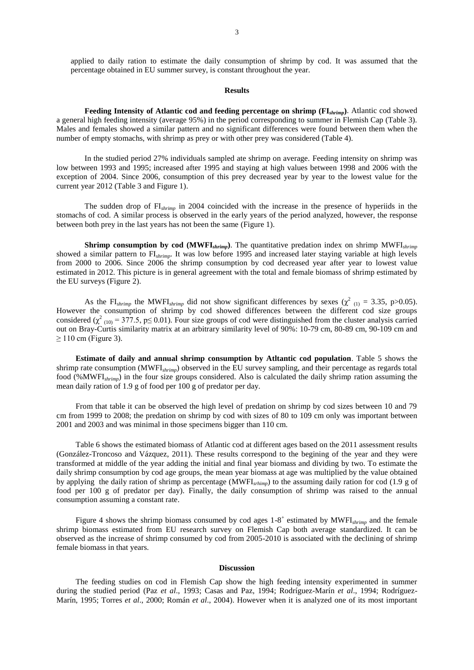applied to daily ration to estimate the daily consumption of shrimp by cod. It was assumed that the percentage obtained in EU summer survey, is constant throughout the year.

## **Results**

**Feeding Intensity of Atlantic cod and feeding percentage on shrimp (FI***shrimp***)**. Atlantic cod showed a general high feeding intensity (average 95%) in the period corresponding to summer in Flemish Cap (Table 3). Males and females showed a similar pattern and no significant differences were found between them when the number of empty stomachs, with shrimp as prey or with other prey was considered (Table 4).

In the studied period 27% individuals sampled ate shrimp on average. Feeding intensity on shrimp was low between 1993 and 1995; increased after 1995 and staying at high values between 1998 and 2006 with the exception of 2004. Since 2006, consumption of this prey decreased year by year to the lowest value for the current year 2012 (Table 3 and Figure 1).

The sudden drop of FI*shrimp* in 2004 coincided with the increase in the presence of hyperiids in the stomachs of cod. A similar process is observed in the early years of the period analyzed, however, the response between both prey in the last years has not been the same (Figure 1).

**Shrimp consumption by cod (MWFI***shrimp***)**. The quantitative predation index on shrimp MWFI*shrimp* showed a similar pattern to FI*shrimp*. It was low before 1995 and increased later staying variable at high levels from 2000 to 2006. Since 2006 the shrimp consumption by cod decreased year after year to lowest value estimated in 2012. This picture is in general agreement with the total and female biomass of shrimp estimated by the EU surveys (Figure 2).

As the FI<sub>shrimp</sub> the MWFI<sub>shrimp</sub> did not show significant differences by sexes ( $\chi^2$  <sub>(1)</sub> = 3.35, p>0.05). However the consumption of shrimp by cod showed differences between the different cod size groups considered ( $\chi^2$ <sub>(10)</sub> = 377.5, p lextings 0.01). Four size groups of cod were distinguished from the cluster analysis carried out on Bray-Curtis similarity matrix at an arbitrary similarity level of 90%: 10-79 cm, 80-89 cm, 90-109 cm and  $\geq$  110 cm (Figure 3).

**Estimate of daily and annual shrimp consumption by Atltantic cod population**. Table 5 shows the shrimp rate consumption (MWFI*shrimp*) observed in the EU survey sampling, and their percentage as regards total food (%MWFI*shrimp*) in the four size groups considered. Also is calculated the daily shrimp ration assuming the mean daily ration of 1.9 g of food per 100 g of predator per day.

From that table it can be observed the high level of predation on shrimp by cod sizes between 10 and 79 cm from 1999 to 2008; the predation on shrimp by cod with sizes of 80 to 109 cm only was important between 2001 and 2003 and was minimal in those specimens bigger than 110 cm.

Table 6 shows the estimated biomass of Atlantic cod at different ages based on the 2011 assessment results (González-Troncoso and Vázquez, 2011). These results correspond to the begining of the year and they were transformed at middle of the year adding the initial and final year biomass and dividing by two. To estimate the daily shrimp consumption by cod age groups, the mean year biomass at age was multiplied by the value obtained by applying the daily ration of shrimp as percentage (MWFI*srhimp*) to the assuming daily ration for cod (1.9 g of food per 100 g of predator per day). Finally, the daily consumption of shrimp was raised to the annual consumption assuming a constant rate.

Figure 4 shows the shrimp biomass consumed by cod ages 1-8 + estimated by MWFI*shrimp* and the female shrimp biomass estimated from EU research survey on Flemish Cap both average standardized. It can be observed as the increase of shrimp consumed by cod from 2005-2010 is associated with the declining of shrimp female biomass in that years.

#### **Discussion**

The feeding studies on cod in Flemish Cap show the high feeding intensity experimented in summer during the studied period (Paz *et al*., 1993; Casas and Paz, 1994; Rodríguez-Marín *et al*., 1994; Rodríguez-Marín, 1995; Torres *et al*., 2000; Román *et al*., 2004). However when it is analyzed one of its most important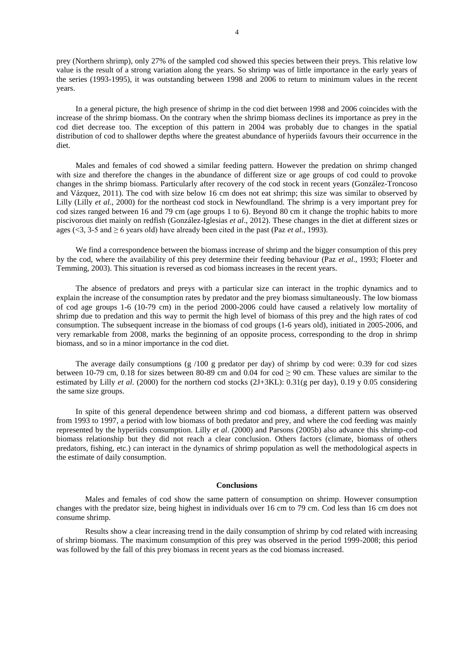prey (Northern shrimp), only 27% of the sampled cod showed this species between their preys. This relative low value is the result of a strong variation along the years. So shrimp was of little importance in the early years of the series (1993-1995), it was outstanding between 1998 and 2006 to return to minimum values in the recent years.

In a general picture, the high presence of shrimp in the cod diet between 1998 and 2006 coincides with the increase of the shrimp biomass. On the contrary when the shrimp biomass declines its importance as prey in the cod diet decrease too. The exception of this pattern in 2004 was probably due to changes in the spatial distribution of cod to shallower depths where the greatest abundance of hyperiids favours their occurrence in the diet.

Males and females of cod showed a similar feeding pattern. However the predation on shrimp changed with size and therefore the changes in the abundance of different size or age groups of cod could to provoke changes in the shrimp biomass. Particularly after recovery of the cod stock in recent years (González-Troncoso and Vázquez, 2011). The cod with size below 16 cm does not eat shrimp; this size was similar to observed by Lilly (Lilly *et al.*, 2000) for the northeast cod stock in Newfoundland. The shrimp is a very important prey for cod sizes ranged between 16 and 79 cm (age groups 1 to 6). Beyond 80 cm it change the trophic habits to more piscivorous diet mainly on redfish (González-Iglesias *et al*., 2012). These changes in the diet at different sizes or ages (<3, 3-5 and  $\geq$  6 years old) have already been cited in the past (Paz *et al.*, 1993).

We find a correspondence between the biomass increase of shrimp and the bigger consumption of this prey by the cod, where the availability of this prey determine their feeding behaviour (Paz *et al*., 1993; Floeter and Temming, 2003). This situation is reversed as cod biomass increases in the recent years.

The absence of predators and preys with a particular size can interact in the trophic dynamics and to explain the increase of the consumption rates by predator and the prey biomass simultaneously. The low biomass of cod age groups 1-6 (10-79 cm) in the period 2000-2006 could have caused a relatively low mortality of shrimp due to predation and this way to permit the high level of biomass of this prey and the high rates of cod consumption. The subsequent increase in the biomass of cod groups (1-6 years old), initiated in 2005-2006, and very remarkable from 2008, marks the beginning of an opposite process, corresponding to the drop in shrimp biomass, and so in a minor importance in the cod diet.

The average daily consumptions (g /100 g predator per day) of shrimp by cod were: 0.39 for cod sizes between 10-79 cm, 0.18 for sizes between 80-89 cm and 0.04 for cod  $> 90$  cm. These values are similar to the estimated by Lilly *et al*. (2000) for the northern cod stocks (2J+3KL): 0.31(g per day), 0.19 y 0.05 considering the same size groups.

In spite of this general dependence between shrimp and cod biomass, a different pattern was observed from 1993 to 1997, a period with low biomass of both predator and prey, and where the cod feeding was mainly represented by the hyperiids consumption. Lilly *et al*. (2000) and Parsons (2005b) also advance this shrimp-cod biomass relationship but they did not reach a clear conclusion. Others factors (climate, biomass of others predators, fishing, etc.) can interact in the dynamics of shrimp population as well the methodological aspects in the estimate of daily consumption.

## **Conclusions**

Males and females of cod show the same pattern of consumption on shrimp. However consumption changes with the predator size, being highest in individuals over 16 cm to 79 cm. Cod less than 16 cm does not consume shrimp.

Results show a clear increasing trend in the daily consumption of shrimp by cod related with increasing of shrimp biomass. The maximum consumption of this prey was observed in the period 1999-2008; this period was followed by the fall of this prey biomass in recent years as the cod biomass increased.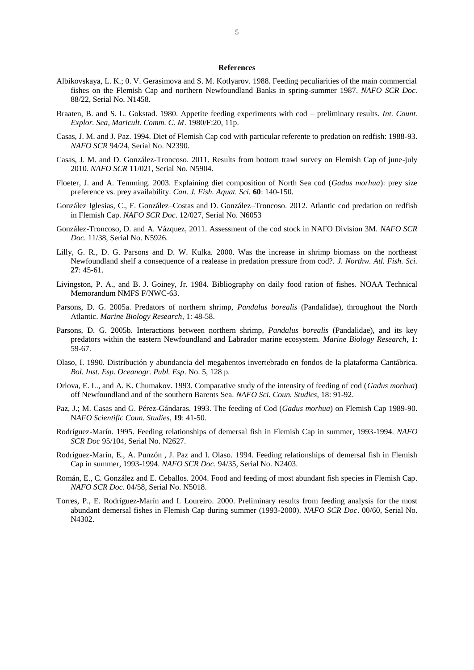### **References**

- Albikovskaya, L. K.; 0. V. Gerasimova and S. M. Kotlyarov. 1988. Feeding peculiarities of the main commercial fishes on the Flemish Cap and northern Newfoundland Banks in spring-summer 1987. *NAFO SCR Doc.* 88/22, Serial No. N1458.
- Braaten, B. and S. L. Gokstad. 1980. Appetite feeding experiments with cod preliminary results. *Int. Count. Explor. Sea, Maricult. Comm. C. M*. 1980/F:20, 11p.
- Casas, J. M. and J. Paz. 1994. Diet of Flemish Cap cod with particular referente to predation on redfish: 1988-93. *NAFO SCR* 94/24, Serial No. N2390.
- Casas, J. M. and D. González-Troncoso. 2011. Results from bottom trawl survey on Flemish Cap of june-july 2010. *NAFO SCR* 11/021, Serial No. N5904.
- Floeter, J. and A. Temming. 2003. Explaining diet composition of North Sea cod (*Gadus morhua*): prey size preference vs. prey availability. *Can. J. Fish. Aquat. Sci.* **60**: 140-150.
- González Iglesias, C., F. González–Costas and D. González–Troncoso. 2012. Atlantic cod predation on redfish in Flemish Cap. *NAFO SCR Doc*. 12/027, Serial No. N6053
- González-Troncoso, D. and A. Vázquez, 2011. Assessment of the cod stock in NAFO Division 3M. *NAFO SCR Doc*. 11/38, Serial No. N5926.
- Lilly, G. R., D. G. Parsons and D. W. Kulka. 2000. Was the increase in shrimp biomass on the northeast Newfoundland shelf a consequence of a realease in predation pressure from cod?. *J. Northw. Atl. Fish. Sci.* **27**: 45-61.
- Livingston, P. A., and B. J. Goiney, Jr. 1984. Bibliography on daily food ration of fishes. NOAA Technical Memorandum NMFS F/NWC-63.
- Parsons, D. G. 2005a. Predators of northern shrimp, *Pandalus borealis* (Pandalidae), throughout the North Atlantic. *Marine Biology Research*, 1: 48-58.
- Parsons, D. G. 2005b. Interactions between northern shrimp, *Pandalus borealis* (Pandalidae), and its key predators within the eastern Newfoundland and Labrador marine ecosystem. *Marine Biology Research*, 1: 59-67.
- Olaso, I. 1990. Distribución y abundancia del megabentos invertebrado en fondos de la plataforma Cantábrica. *Bol. Inst. Esp. Oceanogr. Publ. Esp*. No. 5, 128 p.
- Orlova, E. L., and A. K. Chumakov. 1993. Comparative study of the intensity of feeding of cod (*Gadus morhua*) off Newfoundland and of the southern Barents Sea. *NAFO Sci. Coun. Studies*, 18: 91-92.
- Paz, J.; M. Casas and G. Pérez-Gándaras. 1993. The feeding of Cod (*Gadus morhua*) on Flemish Cap 1989-90. N*AFO Scientific Coun. Studies,* **19**: 41-50.
- Rodríguez-Marín. 1995. [Feeding relationships of demersal fish in Flemish Cap in summer, 1993-1994.](http://archive.nafo.int/open/sc/1995/scr-95-104.pdf) *NAFO SCR Doc* 95/104, Serial No. N2627.
- Rodríguez-Marín, E., A. Punzón , J. Paz and I. Olaso. 1994. [Feeding relationships of demersal fish in Flemish](http://archive.nafo.int/open/sc/1995/scr-95-104.pdf)  [Cap in summer, 1993-1994.](http://archive.nafo.int/open/sc/1995/scr-95-104.pdf) *NAFO SCR Doc*. 94/35, Serial No. N2403.
- Román, E., C. González and E. Ceballos. 2004. [Food and feeding of most abundant fish species in Flemish Cap.](http://archive.nafo.int/open/sc/2004/scr04-058.pdf) *NAFO SCR Doc*. 04/58, Serial No. N5018.
- Torres, P., E. Rodríguez-Marín and I. Loureiro. 2000. Preliminary results from feeding analysis for the most abundant demersal fishes in Flemish Cap during summer (1993-2000). *NAFO SCR Doc*. 00/60, Serial No. N4302.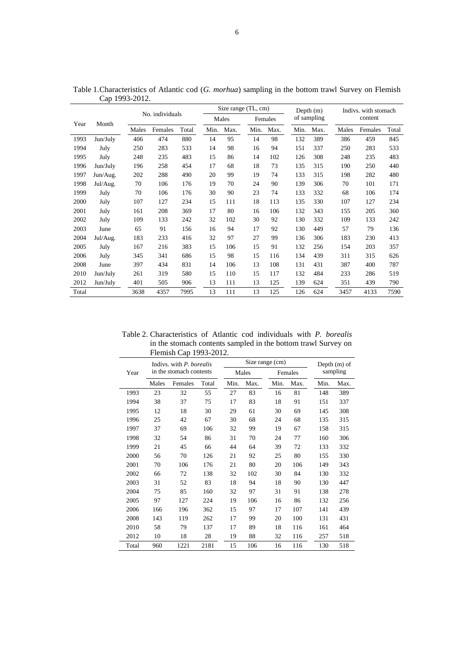| Cap 1995-2012. |          |                 |         |       |      |       | Size range (TL, cm) |         | Depth $(m)$ |             | Indivs. with stomach |         |       |  |  |
|----------------|----------|-----------------|---------|-------|------|-------|---------------------|---------|-------------|-------------|----------------------|---------|-------|--|--|
| Year           | Month    | No. individuals |         |       |      | Males |                     | Females |             | of sampling |                      | content |       |  |  |
|                |          | Males           | Females | Total | Min. | Max.  | Min.                | Max.    | Min.        | Max.        | Males                | Females | Total |  |  |
| 1993           | Jun/July | 406             | 474     | 880   | 14   | 95    | 14                  | 98      | 132         | 389         | 386                  | 459     | 845   |  |  |
| 1994           | July     | 250             | 283     | 533   | 14   | 98    | 16                  | 94      | 151         | 337         | 250                  | 283     | 533   |  |  |
| 1995           | July     | 248             | 235     | 483   | 15   | 86    | 14                  | 102     | 126         | 308         | 248                  | 235     | 483   |  |  |
| 1996           | Jun/July | 196             | 258     | 454   | 17   | 68    | 18                  | 73      | 135         | 315         | 190                  | 250     | 440   |  |  |
| 1997           | Jun/Aug. | 202             | 288     | 490   | 20   | 99    | 19                  | 74      | 133         | 315         | 198                  | 282     | 480   |  |  |
| 1998           | Jul/Aug. | 70              | 106     | 176   | 19   | 70    | 24                  | 90      | 139         | 306         | 70                   | 101     | 171   |  |  |
| 1999           | July     | 70              | 106     | 176   | 30   | 90    | 23                  | 74      | 133         | 332         | 68                   | 106     | 174   |  |  |
| 2000           | July     | 107             | 127     | 234   | 15   | 111   | 18                  | 113     | 135         | 330         | 107                  | 127     | 234   |  |  |
| 2001           | July     | 161             | 208     | 369   | 17   | 80    | 16                  | 106     | 132         | 343         | 155                  | 205     | 360   |  |  |
| 2002           | July     | 109             | 133     | 242   | 32   | 102   | 30                  | 92      | 130         | 332         | 109                  | 133     | 242   |  |  |
| 2003           | June     | 65              | 91      | 156   | 16   | 94    | 17                  | 92      | 130         | 449         | 57                   | 79      | 136   |  |  |
| 2004           | Jul/Aug. | 183             | 233     | 416   | 32   | 97    | 27                  | 99      | 136         | 306         | 183                  | 230     | 413   |  |  |
| 2005           | July     | 167             | 216     | 383   | 15   | 106   | 15                  | 91      | 132         | 256         | 154                  | 203     | 357   |  |  |
| 2006           | July     | 345             | 341     | 686   | 15   | 98    | 15                  | 116     | 134         | 439         | 311                  | 315     | 626   |  |  |
| 2008           | June     | 397             | 434     | 831   | 14   | 106   | 13                  | 108     | 131         | 431         | 387                  | 400     | 787   |  |  |
| 2010           | Jun/July | 261             | 319     | 580   | 15   | 110   | 15                  | 117     | 132         | 484         | 233                  | 286     | 519   |  |  |
| 2012           | Jun/July | 401             | 505     | 906   | 13   | 111   | 13                  | 125     | 139         | 624         | 351                  | 439     | 790   |  |  |
| Total          |          | 3638            | 4357    | 7995  | 13   | 111   | 13                  | 125     | 126         | 624         | 3457                 | 4133    | 7590  |  |  |

Table 1.Characteristics of Atlantic cod (*G. morhua*) sampling in the bottom trawl Survey on Flemish Cap 1993-2012.

Table 2. Characteristics of Atlantic cod individuals with *P. borealis* in the stomach contents sampled in the bottom trawl Survey on Flemish Cap 1993-2012.

|       |       | Indivs. with P. borealis |       |      | Size range (cm) |      | Depth (m) of |      |          |  |  |
|-------|-------|--------------------------|-------|------|-----------------|------|--------------|------|----------|--|--|
| Year  |       | in the stomach contents  |       |      | Males           |      | Females      |      | sampling |  |  |
|       | Males | Females                  | Total | Min. | Max.            | Min. | Max.         | Min. | Max.     |  |  |
| 1993  | 23    | 32                       | 55    | 27   | 83              | 16   | 81           | 148  | 389      |  |  |
| 1994  | 38    | 37                       | 75    | 17   | 83              | 18   | 91           | 151  | 337      |  |  |
| 1995  | 12    | 18                       | 30    | 29   | 61              | 30   | 69           | 145  | 308      |  |  |
| 1996  | 25    | 42                       | 67    | 30   | 68              | 24   | 68           | 135  | 315      |  |  |
| 1997  | 37    | 69                       | 106   | 32   | 99              | 19   | 67           | 158  | 315      |  |  |
| 1998  | 32    | 54                       | 86    | 31   | 70              | 24   | 77           | 160  | 306      |  |  |
| 1999  | 21    | 45                       | 66    | 44   | 64              | 39   | 72           | 133  | 332      |  |  |
| 2000  | 56    | 70                       | 126   | 21   | 92              | 25   | 80           | 155  | 330      |  |  |
| 2001  | 70    | 106                      | 176   | 21   | 80              | 20   | 106          | 149  | 343      |  |  |
| 2002  | 66    | 72                       | 138   | 32   | 102             | 30   | 84           | 130  | 332      |  |  |
| 2003  | 31    | 52                       | 83    | 18   | 94              | 18   | 90           | 130  | 447      |  |  |
| 2004  | 75    | 85                       | 160   | 32   | 97              | 31   | 91           | 138  | 278      |  |  |
| 2005  | 97    | 127                      | 224   | 19   | 106             | 16   | 86           | 132  | 256      |  |  |
| 2006  | 166   | 196                      | 362   | 15   | 97              | 17   | 107          | 141  | 439      |  |  |
| 2008  | 143   | 119                      | 262   | 17   | 99              | 20   | 100          | 131  | 431      |  |  |
| 2010  | 58    | 79                       | 137   | 17   | 89              | 18   | 116          | 161  | 464      |  |  |
| 2012  | 10    | 18                       | 28    | 19   | 88              | 32   | 116          | 257  | 518      |  |  |
| Total | 960   | 1221                     | 2181  | 15   | 106             | 16   | 116          | 130  | 518      |  |  |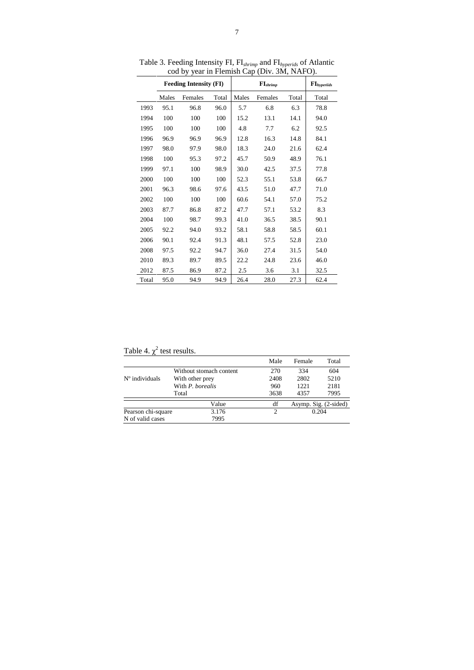|       |       | <b>Feeding Intensity (FI)</b> |       |       | $\mathbf{FI}_{hyperiids}$ |       |       |
|-------|-------|-------------------------------|-------|-------|---------------------------|-------|-------|
|       | Males | Females                       | Total | Males | Females                   | Total | Total |
| 1993  | 95.1  | 96.8                          | 96.0  | 5.7   | 6.8                       | 6.3   | 78.8  |
| 1994  | 100   | 100                           | 100   | 15.2  | 13.1                      | 14.1  | 94.0  |
| 1995  | 100   | 100                           | 100   | 4.8   | 7.7                       | 6.2   | 92.5  |
| 1996  | 96.9  | 96.9                          | 96.9  | 12.8  | 16.3                      | 14.8  | 84.1  |
| 1997  | 98.0  | 97.9                          | 98.0  | 18.3  | 24.0                      | 21.6  | 62.4  |
| 1998  | 100   | 95.3                          | 97.2  | 45.7  | 50.9                      | 48.9  | 76.1  |
| 1999  | 97.1  | 100                           | 98.9  | 30.0  | 42.5                      | 37.5  | 77.8  |
| 2000  | 100   | 100                           | 100   | 52.3  | 55.1                      | 53.8  | 66.7  |
| 2001  | 96.3  | 98.6                          | 97.6  | 43.5  | 51.0                      | 47.7  | 71.0  |
| 2002  | 100   | 100                           | 100   | 60.6  | 54.1                      | 57.0  | 75.2  |
| 2003  | 87.7  | 86.8                          | 87.2  | 47.7  | 57.1                      | 53.2  | 8.3   |
| 2004  | 100   | 98.7                          | 99.3  | 41.0  | 36.5                      | 38.5  | 90.1  |
| 2005  | 92.2  | 94.0                          | 93.2  | 58.1  | 58.8                      | 58.5  | 60.1  |
| 2006  | 90.1  | 92.4                          | 91.3  | 48.1  | 57.5                      | 52.8  | 23.0  |
| 2008  | 97.5  | 92.2                          | 94.7  | 36.0  | 27.4                      | 31.5  | 54.0  |
| 2010  | 89.3  | 89.7                          | 89.5  | 22.2  | 24.8                      | 23.6  | 46.0  |
| 2012  | 87.5  | 86.9                          | 87.2  | 2.5   | 3.6                       | 3.1   | 32.5  |
| Total | 95.0  | 94.9                          | 94.9  | 26.4  | 28.0                      | 27.3  | 62.4  |

Table 3. Feeding Intensity FI, FI*shrimp* and FI*hyperids* of Atlantic cod by year in Flemish Cap (Div. 3M, NAFO).

Table 4.  $\chi^2$  test results.

|                         |                         | Male | Female | Total                 |
|-------------------------|-------------------------|------|--------|-----------------------|
|                         | Without stomach content | 270  | 334    | 604                   |
| $N^{\circ}$ individuals | With other prey         | 2408 | 2802   | 5210                  |
|                         | With P. borealis        | 960  | 1221   | 2181                  |
|                         | Total                   | 3638 | 4357   | 7995                  |
|                         | Value                   | df   |        | Asymp. Sig. (2-sided) |
| Pearson chi-square      | 3.176                   | 2    |        | 0.204                 |
| N of valid cases        | 7995                    |      |        |                       |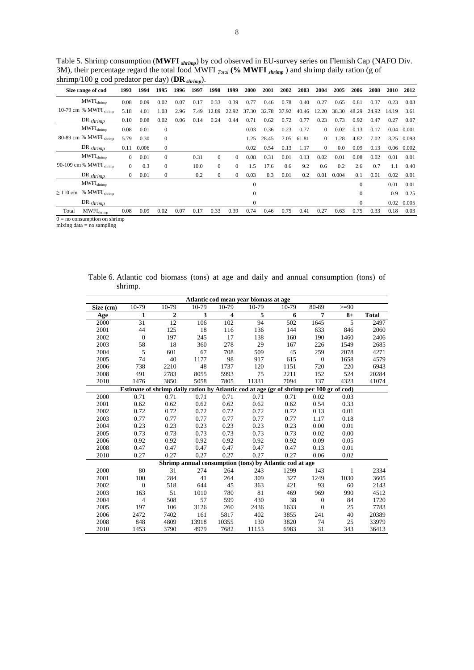Table 5. Shrimp consumption (**MWFI** *shrimp*) by cod observed in EU-survey series on Flemish Cap (NAFO Div. 3M), their percentage regard the total food MWFI *Total* **(% MWFI** *shrimp* ) and shrimp daily ration (g of shrimp/100 g cod predator per day) (**DR** *shrimp*).

|           | U<br>л.                    |              | л.    | . .            |      | $5101$ $010p$ |                |              |              |       |       |       |          |       |          |       |             |       |
|-----------|----------------------------|--------------|-------|----------------|------|---------------|----------------|--------------|--------------|-------|-------|-------|----------|-------|----------|-------|-------------|-------|
|           | Size range of cod          | 1993         | 1994  | 1995           | 1996 | 1997          | 1998           | 1999         | 2000         | 2001  | 2002  | 2003  | 2004     | 2005  | 2006     | 2008  | <b>2010</b> | 2012  |
|           | $MWFI_{shrimp}$            | 0.08         | 0.09  | 0.02           | 0.07 | 0.17          | 0.33           | 0.39         | 0.77         | 0.46  | 0.78  | 0.40  | 0.27     | 0.65  | 0.81     | 0.37  | 0.23        | 0.03  |
|           | 10-79 cm % $MWFI_{shrimp}$ | 5.18         | 4.01  | 1.03           | 2.96 | 7.49          | 12.89          | 22.92        | 37.30        | 32.78 | 37.92 | 40.46 | 12.20    | 38.30 | 48.29    | 24.92 | 14.19       | 3.61  |
|           | $DR$ <sub>shrimp</sub>     | 0.10         | 0.08  | 0.02           | 0.06 | 0.14          | 0.24           | 0.44         | 0.71         | 0.62  | 0.72  | 0.77  | 0.23     | 0.73  | 0.92     | 0.47  | 0.27        | 0.07  |
|           | $MWFI_{\text{shrimp}}$     | 0.08         | 0.01  | $\mathbf{0}$   |      |               |                |              | 0.03         | 0.36  | 0.23  | 0.77  | $\Omega$ | 0.02  | 0.13     | 0.17  | 0.04        | 0.001 |
|           | 80-89 cm % MWFI shrimp     | 5.79         | 0.30  | $\mathbf{0}$   |      |               |                |              | 1.25         | 28.45 | 7.05  | 61.81 | $\Omega$ | 1.28  | 4.82     | 7.02  | 3.25        | 0.093 |
|           | DR $shrimp$                | 0.11         | 0.006 | $\overline{0}$ |      |               |                |              | 0.02         | 0.54  | 0.13  | 1.17  | $\Omega$ | 0.0   | 0.09     | 0.13  | 0.06        | 0.002 |
|           | $MWFI_{shrimp}$            | $\Omega$     | 0.01  | $\mathbf{0}$   |      | 0.31          | $\Omega$       | $\Omega$     | 0.08         | 0.31  | 0.01  | 0.13  | 0.02     | 0.01  | 0.08     | 0.02  | 0.01        | 0.01  |
|           | 90-109 cm% MWFI shrimp     | $\Omega$     | 0.3   | $\mathbf{0}$   |      | 10.0          | $\overline{0}$ | $\mathbf{0}$ | 1.5          | 17.6  | 0.6   | 9.2   | 0.6      | 0.2   | 2.6      | 0.7   | 1.1         | 0.40  |
|           | $DR$ <sub>shrimp</sub>     | $\mathbf{0}$ | 0.01  | $\mathbf{0}$   |      | 0.2           | $\Omega$       | $\mathbf{0}$ | 0.03         | 0.3   | 0.01  | 0.2   | 0.01     | 0.004 | 0.1      | 0.01  | 0.02        | 0.01  |
| $>110$ cm | $MWFI_{\text{shrimp}}$     |              |       |                |      |               |                |              | $\mathbf{0}$ |       |       |       |          |       | $\Omega$ |       | 0.01        | 0.01  |
|           | % MWFI $_{\text{shrimn}}$  |              |       |                |      |               |                |              | $\mathbf{0}$ |       |       |       |          |       | 0        |       | 0.9         | 0.25  |
|           | $DR$ <sub>shrimp</sub>     |              |       |                |      |               |                |              | $\Omega$     |       |       |       |          |       | $\Omega$ |       | 0.02        | 0.005 |
| Total     | $MWFI_{shrimp}$            | 0.08         | 0.09  | 0.02           | 0.07 | 0.17          | 0.33           | 0.39         | 0.74         | 0.46  | 0.75  | 0.41  | 0.27     | 0.63  | 0.75     | 0.33  | 0.18        | 0.03  |

 $0 =$  no consumption on shrimp

mixing  $data = no$  sampling

Table 6. Atlantic cod biomass (tons) at age and daily and annual consumption (tons) of shrimp.

| Atlantic cod mean year biomass at age                                                   |                |              |       |                         |       |                                                         |                |         |              |  |  |  |
|-----------------------------------------------------------------------------------------|----------------|--------------|-------|-------------------------|-------|---------------------------------------------------------|----------------|---------|--------------|--|--|--|
| Size (cm)                                                                               | 10-79          | 10-79        | 10-79 | 10-79                   | 10-79 | 10-79                                                   | 80-89          | $>=$ 90 |              |  |  |  |
| Age                                                                                     | $\mathbf{1}$   | $\mathbf{2}$ | 3     | $\overline{\mathbf{4}}$ | 5     | 6                                                       | $\overline{7}$ | $8+$    | <b>Total</b> |  |  |  |
| 2000                                                                                    | 31             | 12           | 106   | 102                     | 94    | 502                                                     | 1645           | 5       | 2497         |  |  |  |
| 2001                                                                                    | 44             | 125          | 18    | 116                     | 136   | 144                                                     | 633            | 846     | 2060         |  |  |  |
| 2002                                                                                    | $\overline{0}$ | 197          | 245   | 17                      | 138   | 160                                                     | 190            | 1460    | 2406         |  |  |  |
| 2003                                                                                    | 58             | 18           | 360   | 278                     | 29    | 167                                                     | 226            | 1549    | 2685         |  |  |  |
| 2004                                                                                    | 5              | 601          | 67    | 708                     | 509   | 45                                                      | 259            | 2078    | 4271         |  |  |  |
| 2005                                                                                    | 74             | 40           | 1177  | 98                      | 917   | 615                                                     | $\overline{0}$ | 1658    | 4579         |  |  |  |
| 2006                                                                                    | 738            | 2210         | 48    | 1737                    | 120   | 1151                                                    | 720            | 220     | 6943         |  |  |  |
| 2008                                                                                    | 491            | 2783         | 8055  | 5993                    | 75    | 2211                                                    | 152            | 524     | 20284        |  |  |  |
| 2010                                                                                    | 1476           | 3850         | 5058  | 7805                    | 11331 | 7094                                                    | 137            | 4323    | 41074        |  |  |  |
| Estimate of shrimp daily ration by Atlantic cod at age (gr of shrimp per 100 gr of cod) |                |              |       |                         |       |                                                         |                |         |              |  |  |  |
| 2000                                                                                    | 0.71           | 0.71         | 0.71  | 0.71                    | 0.71  | 0.71                                                    | 0.02           | 0.03    |              |  |  |  |
| 2001                                                                                    | 0.62           | 0.62         | 0.62  | 0.62                    | 0.62  | 0.62                                                    | 0.54           | 0.33    |              |  |  |  |
| 2002                                                                                    | 0.72           | 0.72         | 0.72  | 0.72                    | 0.72  | 0.72                                                    | 0.13           | 0.01    |              |  |  |  |
| 2003                                                                                    | 0.77           | 0.77         | 0.77  | 0.77                    | 0.77  | 0.77                                                    | 1.17           | 0.18    |              |  |  |  |
| 2004                                                                                    | 0.23           | 0.23         | 0.23  | 0.23                    | 0.23  | 0.23                                                    | 0.00           | 0.01    |              |  |  |  |
| 2005                                                                                    | 0.73           | 0.73         | 0.73  | 0.73                    | 0.73  | 0.73                                                    | 0.02           | 0.00    |              |  |  |  |
| 2006                                                                                    | 0.92           | 0.92         | 0.92  | 0.92                    | 0.92  | 0.92                                                    | 0.09           | 0.05    |              |  |  |  |
| 2008                                                                                    | 0.47           | 0.47         | 0.47  | 0.47                    | 0.47  | 0.47                                                    | 0.13           | 0.01    |              |  |  |  |
| 2010                                                                                    | 0.27           | 0.27         | 0.27  | 0.27                    | 0.27  | 0.27                                                    | 0.06           | 0.02    |              |  |  |  |
|                                                                                         |                |              |       |                         |       | Shrimp annual consumption (tons) by Atlantic cod at age |                |         |              |  |  |  |
| 2000                                                                                    | 80             | 31           | 274   | 264                     | 243   | 1299                                                    | 143            | 1       | 2334         |  |  |  |
| 2001                                                                                    | 100            | 284          | 41    | 264                     | 309   | 327                                                     | 1249           | 1030    | 3605         |  |  |  |
| 2002                                                                                    | $\mathbf{0}$   | 518          | 644   | 45                      | 363   | 421                                                     | 93             | 60      | 2143         |  |  |  |
| 2003                                                                                    | 163            | 51           | 1010  | 780                     | 81    | 469                                                     | 969            | 990     | 4512         |  |  |  |
| 2004                                                                                    | $\overline{4}$ | 508          | 57    | 599                     | 430   | 38                                                      | $\mathbf{0}$   | 84      | 1720         |  |  |  |
| 2005                                                                                    | 197            | 106          | 3126  | 260                     | 2436  | 1633                                                    | $\theta$       | 25      | 7783         |  |  |  |
| 2006                                                                                    | 2472           | 7402         | 161   | 5817                    | 402   | 3855                                                    | 241            | 40      | 20389        |  |  |  |
| 2008                                                                                    | 848            | 4809         | 13918 | 10355                   | 130   | 3820                                                    | 74             | 25      | 33979        |  |  |  |
| 2010                                                                                    | 1453           | 3790         | 4979  | 7682                    | 11153 | 6983                                                    | 31             | 343     | 36413        |  |  |  |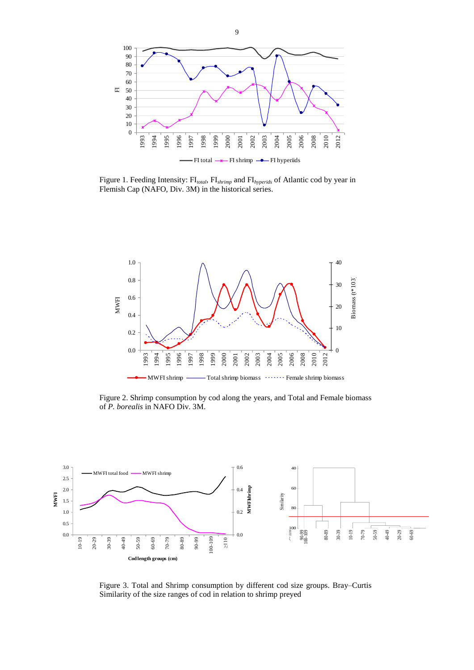

Figure 1. Feeding Intensity: FI*total*, FI*shrimp* and FI*hyperids* of Atlantic cod by year in Flemish Cap (NAFO, Div. 3M) in the historical series.



Figure 2. Shrimp consumption by cod along the years, and Total and Female biomass of *P. borealis* in NAFO Div. 3M.



Figure 3. Total and Shrimp consumption by different cod size groups. Bray–Curtis Similarity of the size ranges of cod in relation to shrimp preyed